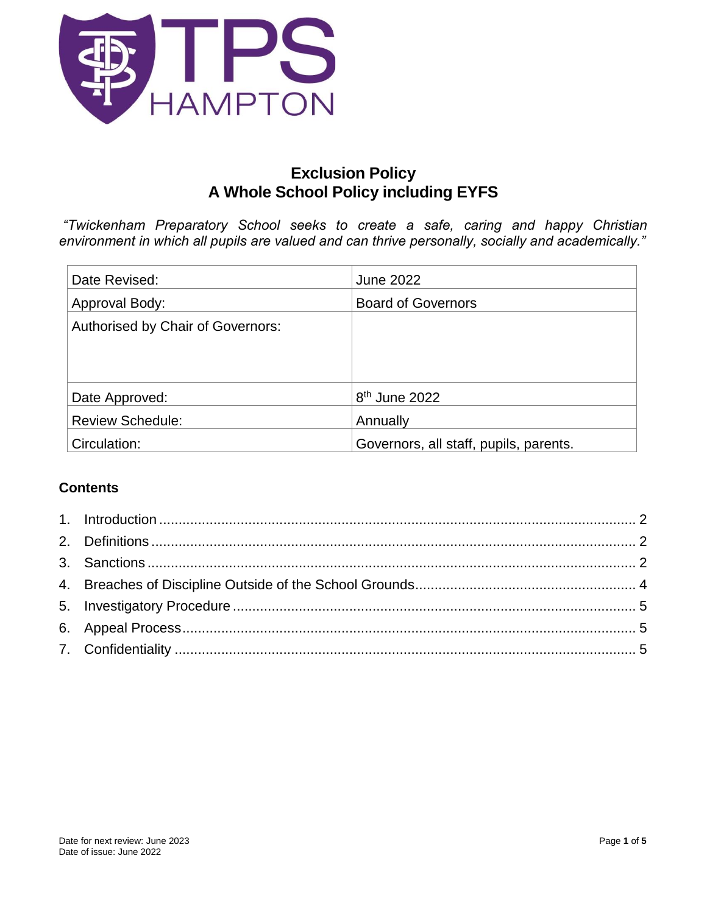

# **Exclusion Policy A Whole School Policy including EYFS**

*"Twickenham Preparatory School seeks to create a safe, caring and happy Christian environment in which all pupils are valued and can thrive personally, socially and academically."*

| Date Revised:                     | June 2022                              |
|-----------------------------------|----------------------------------------|
| Approval Body:                    | <b>Board of Governors</b>              |
| Authorised by Chair of Governors: |                                        |
|                                   |                                        |
|                                   |                                        |
| Date Approved:                    | 8 <sup>th</sup> June 2022              |
| <b>Review Schedule:</b>           | Annually                               |
| Circulation:                      | Governors, all staff, pupils, parents. |

# **Contents**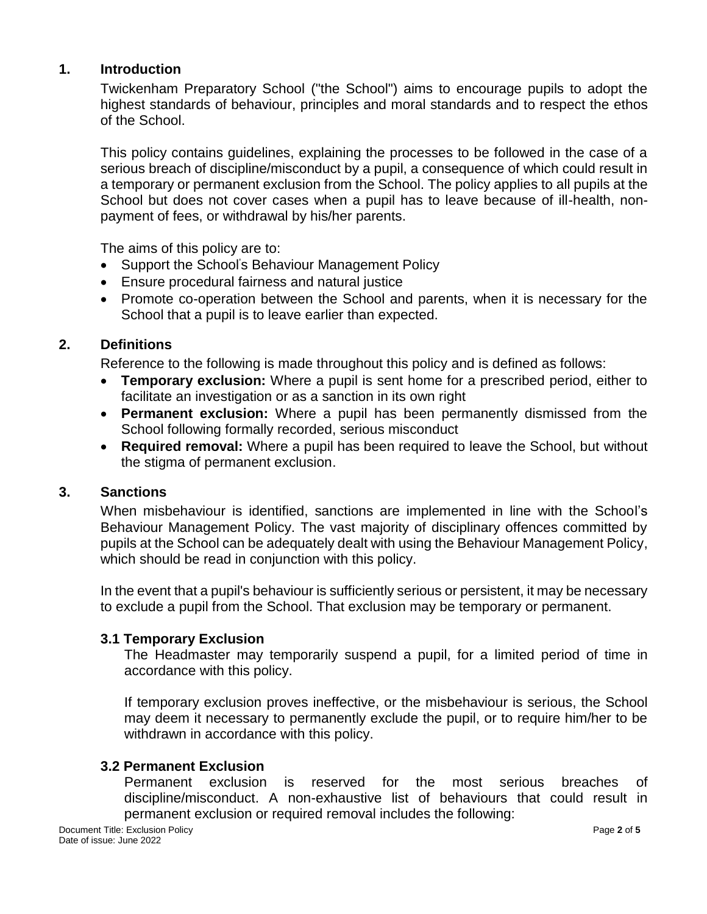#### <span id="page-1-0"></span>**1. Introduction**

Twickenham Preparatory School ("the School") aims to encourage pupils to adopt the highest standards of behaviour, principles and moral standards and to respect the ethos of the School.

This policy contains guidelines, explaining the processes to be followed in the case of a serious breach of discipline/misconduct by a pupil, a consequence of which could result in a temporary or permanent exclusion from the School. The policy applies to all pupils at the School but does not cover cases when a pupil has to leave because of ill-health, nonpayment of fees, or withdrawal by his/her parents.

The aims of this policy are to:

- Support the School's Behaviour Management Policy
- Ensure procedural fairness and natural justice
- Promote co-operation between the School and parents, when it is necessary for the School that a pupil is to leave earlier than expected.

## <span id="page-1-1"></span>**2. Definitions**

Reference to the following is made throughout this policy and is defined as follows:

- **Temporary exclusion:** Where a pupil is sent home for a prescribed period, either to facilitate an investigation or as a sanction in its own right
- **Permanent exclusion:** Where a pupil has been permanently dismissed from the School following formally recorded, serious misconduct
- **Required removal:** Where a pupil has been required to leave the School, but without the stigma of permanent exclusion.

#### <span id="page-1-2"></span>**3. Sanctions**

When misbehaviour is identified, sanctions are implemented in line with the School's Behaviour Management Policy. The vast majority of disciplinary offences committed by pupils at the School can be adequately dealt with using the Behaviour Management Policy, which should be read in conjunction with this policy.

In the event that a pupil's behaviour is sufficiently serious or persistent, it may be necessary to exclude a pupil from the School. That exclusion may be temporary or permanent.

#### **3.1 Temporary Exclusion**

The Headmaster may temporarily suspend a pupil, for a limited period of time in accordance with this policy.

If temporary exclusion proves ineffective, or the misbehaviour is serious, the School may deem it necessary to permanently exclude the pupil, or to require him/her to be withdrawn in accordance with this policy.

#### **3.2 Permanent Exclusion**

Permanent exclusion is reserved for the most serious breaches of discipline/misconduct. A non-exhaustive list of behaviours that could result in permanent exclusion or required removal includes the following: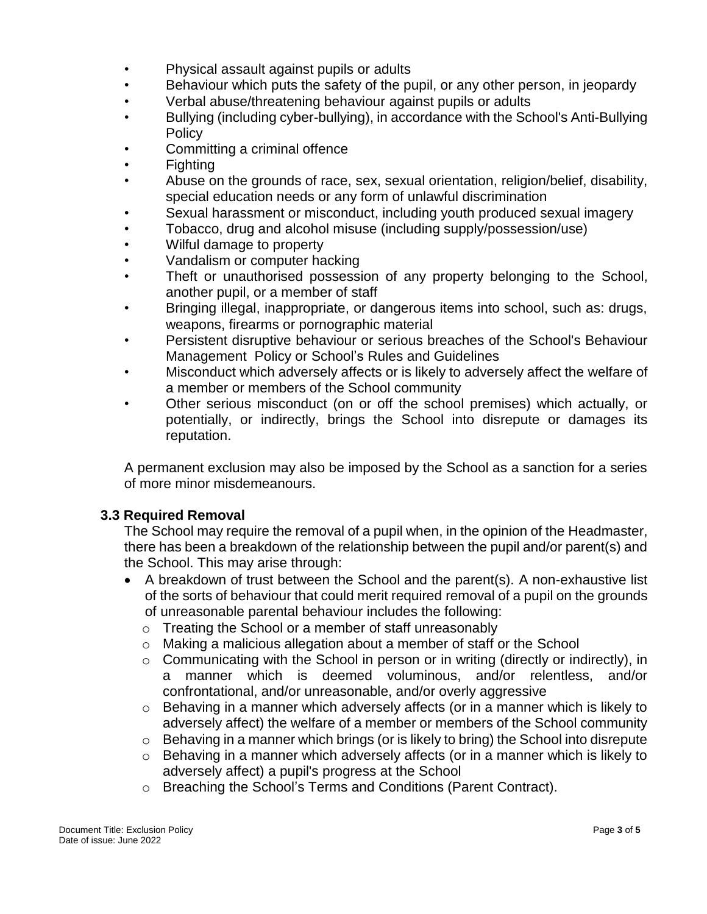- Physical assault against pupils or adults
- Behaviour which puts the safety of the pupil, or any other person, in jeopardy
- Verbal abuse/threatening behaviour against pupils or adults
- Bullying (including cyber-bullying), in accordance with the School's Anti-Bullying **Policy**
- Committing a criminal offence
- Fighting
- Abuse on the grounds of race, sex, sexual orientation, religion/belief, disability, special education needs or any form of unlawful discrimination
- Sexual harassment or misconduct, including youth produced sexual imagery
- Tobacco, drug and alcohol misuse (including supply/possession/use)
- Wilful damage to property
- Vandalism or computer hacking
- Theft or unauthorised possession of any property belonging to the School, another pupil, or a member of staff
- Bringing illegal, inappropriate, or dangerous items into school, such as: drugs, weapons, firearms or pornographic material
- Persistent disruptive behaviour or serious breaches of the School's Behaviour Management Policy or School's Rules and Guidelines
- Misconduct which adversely affects or is likely to adversely affect the welfare of a member or members of the School community
- Other serious misconduct (on or off the school premises) which actually, or potentially, or indirectly, brings the School into disrepute or damages its reputation.

A permanent exclusion may also be imposed by the School as a sanction for a series of more minor misdemeanours.

# **3.3 Required Removal**

The School may require the removal of a pupil when, in the opinion of the Headmaster, there has been a breakdown of the relationship between the pupil and/or parent(s) and the School. This may arise through:

- A breakdown of trust between the School and the parent(s). A non-exhaustive list of the sorts of behaviour that could merit required removal of a pupil on the grounds of unreasonable parental behaviour includes the following:
	- o Treating the School or a member of staff unreasonably
	- o Making a malicious allegation about a member of staff or the School
	- o Communicating with the School in person or in writing (directly or indirectly), in a manner which is deemed voluminous, and/or relentless, and/or confrontational, and/or unreasonable, and/or overly aggressive
	- o Behaving in a manner which adversely affects (or in a manner which is likely to adversely affect) the welfare of a member or members of the School community
	- $\circ$  Behaving in a manner which brings (or is likely to bring) the School into disrepute
	- o Behaving in a manner which adversely affects (or in a manner which is likely to adversely affect) a pupil's progress at the School
	- o Breaching the School's Terms and Conditions (Parent Contract).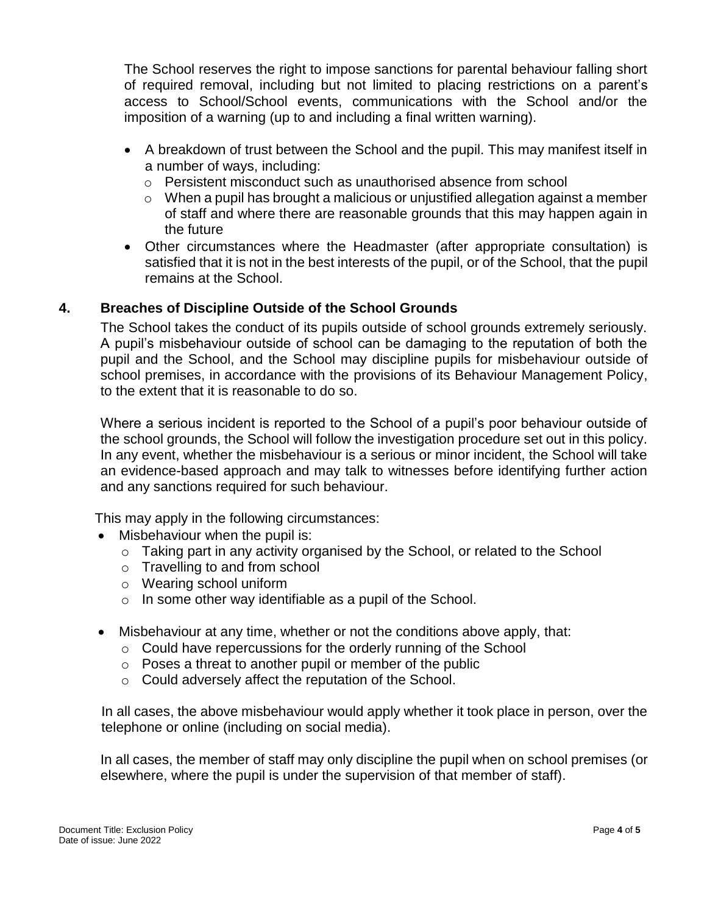The School reserves the right to impose sanctions for parental behaviour falling short of required removal, including but not limited to placing restrictions on a parent's access to School/School events, communications with the School and/or the imposition of a warning (up to and including a final written warning).

- A breakdown of trust between the School and the pupil. This may manifest itself in a number of ways, including:
	- o Persistent misconduct such as unauthorised absence from school
	- $\circ$  When a pupil has brought a malicious or unjustified allegation against a member of staff and where there are reasonable grounds that this may happen again in the future
- Other circumstances where the Headmaster (after appropriate consultation) is satisfied that it is not in the best interests of the pupil, or of the School, that the pupil remains at the School.

## <span id="page-3-0"></span>**4. Breaches of Discipline Outside of the School Grounds**

The School takes the conduct of its pupils outside of school grounds extremely seriously. A pupil's misbehaviour outside of school can be damaging to the reputation of both the pupil and the School, and the School may discipline pupils for misbehaviour outside of school premises, in accordance with the provisions of its Behaviour Management Policy, to the extent that it is reasonable to do so.

Where a serious incident is reported to the School of a pupil's poor behaviour outside of the school grounds, the School will follow the investigation procedure set out in this policy. In any event, whether the misbehaviour is a serious or minor incident, the School will take an evidence-based approach and may talk to witnesses before identifying further action and any sanctions required for such behaviour.

This may apply in the following circumstances:

- Misbehaviour when the pupil is:
	- o Taking part in any activity organised by the School, or related to the School
	- o Travelling to and from school
	- o Wearing school uniform
	- o In some other way identifiable as a pupil of the School.
- Misbehaviour at any time, whether or not the conditions above apply, that:
	- o Could have repercussions for the orderly running of the School
	- o Poses a threat to another pupil or member of the public
	- o Could adversely affect the reputation of the School.

In all cases, the above misbehaviour would apply whether it took place in person, over the telephone or online (including on social media).

In all cases, the member of staff may only discipline the pupil when on school premises (or elsewhere, where the pupil is under the supervision of that member of staff).